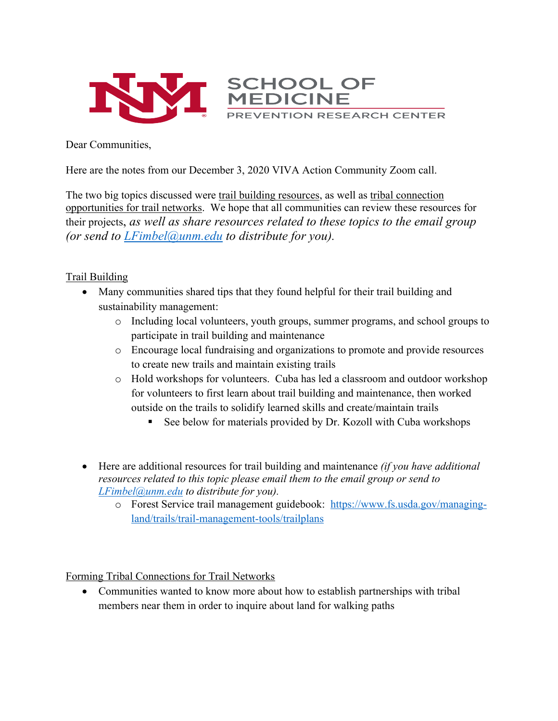

Dear Communities,

Here are the notes from our December 3, 2020 VIVA Action Community Zoom call.

The two big topics discussed were trail building resources, as well as tribal connection opportunities for trail networks. We hope that all communities can review these resources for their projects, *as well as share resources related to these topics to the email group (or send to LFimbel@unm.edu to distribute for you).* 

## Trail Building

- Many communities shared tips that they found helpful for their trail building and sustainability management:
	- o Including local volunteers, youth groups, summer programs, and school groups to participate in trail building and maintenance
	- o Encourage local fundraising and organizations to promote and provide resources to create new trails and maintain existing trails
	- o Hold workshops for volunteers. Cuba has led a classroom and outdoor workshop for volunteers to first learn about trail building and maintenance, then worked outside on the trails to solidify learned skills and create/maintain trails
		- See below for materials provided by Dr. Kozoll with Cuba workshops
- Here are additional resources for trail building and maintenance *(if you have additional resources related to this topic please email them to the email group or send to LFimbel@unm.edu to distribute for you).* 
	- o Forest Service trail management guidebook: https://www.fs.usda.gov/managingland/trails/trail-management-tools/trailplans

Forming Tribal Connections for Trail Networks

• Communities wanted to know more about how to establish partnerships with tribal members near them in order to inquire about land for walking paths